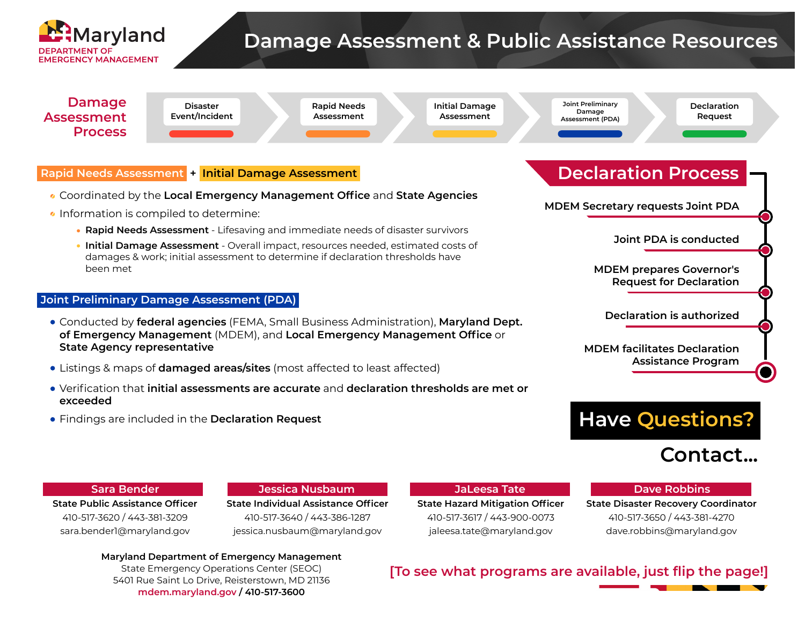

# **Damage Assessment & Public Assistance Resources**



**Maryland Department of Emergency Management** State Emergency Operations Center (SEOC) 5401 Rue Saint Lo Drive, Reisterstown, MD 21136 **mdem.maryland.gov / 410-517-3600**

# **[To see what programs are available, just flip the page!]**